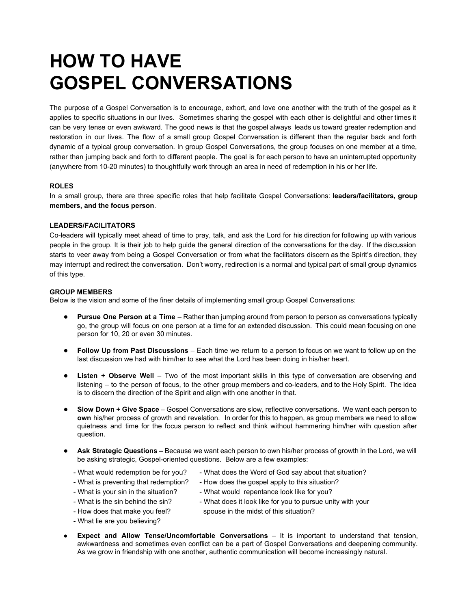# **HOW TO HAVE GOSPEL CONVERSATIONS**

The purpose of a Gospel Conversation is to encourage, exhort, and love one another with the truth of the gospel as it applies to specific situations in our lives. Sometimes sharing the gospel with each other is delightful and other times it can be very tense or even awkward. The good news is that the gospel always leads us toward greater redemption and restoration in our lives. The flow of a small group Gospel Conversation is different than the regular back and forth dynamic of a typical group conversation. In group Gospel Conversations, the group focuses on one member at a time, rather than jumping back and forth to different people. The goal is for each person to have an uninterrupted opportunity (anywhere from 1020 minutes) to thoughtfully work through an area in need of redemption in his or her life.

# **ROLES**

In a small group, there are three specific roles that help facilitate Gospel Conversations: **leaders/facilitators, group members, and the focus person**.

# **LEADERS/FACILITATORS**

Co-leaders will typically meet ahead of time to pray, talk, and ask the Lord for his direction for following up with various people in the group. It is their job to help guide the general direction of the conversations for the day. If the discussion starts to veer away from being a Gospel Conversation or from what the facilitators discern as the Spirit's direction, they may interrupt and redirect the conversation. Don't worry, redirection is a normal and typical part of small group dynamics of this type.

### **GROUP MEMBERS**

Below is the vision and some of the finer details of implementing small group Gospel Conversations:

- **● Pursue One Person at a Time** Rather than jumping around from person to person as conversations typically go, the group will focus on one person at a time for an extended discussion. This could mean focusing on one person for 10, 20 or even 30 minutes.
- **● Follow Up from Past Discussions** Each time we return to a person to focus on we want to follow up on the last discussion we had with him/her to see what the Lord has been doing in his/her heart.
- **● Listen + Observe Well** Two of the most important skills in this type of conversation are observing and listening – to the person of focus, to the other group members and co-leaders, and to the Holy Spirit. The idea is to discern the direction of the Spirit and align with one another in that.
- **● Slow Down + Give Space** Gospel Conversations are slow, reflective conversations. We want each person to **own** his/her process of growth and revelation. In order for this to happen, as group members we need to allow quietness and time for the focus person to reflect and think without hammering him/her with question after question.
- **Ask Strategic Questions –** Because we want each person to own his/her process of growth in the Lord, we will be asking strategic, Gospel-oriented questions. Below are a few examples:
	- What would redemption be for you?
- What does the Word of God say about that situation?
- What is preventing that redemption?
- How does the gospel apply to this situation? What would repentance look like for you?
- What is your sin in the situation? What is the sin behind the sin?
- How does that make you feel?
- What does it look like for you to pursue unity with your spouse in the midst of this situation?
- What lie are you believing?
- **Expect and Allow Tense/Uncomfortable Conversations It is important to understand that tension,** awkwardness and sometimes even conflict can be a part of Gospel Conversations and deepening community. As we grow in friendship with one another, authentic communication will become increasingly natural.